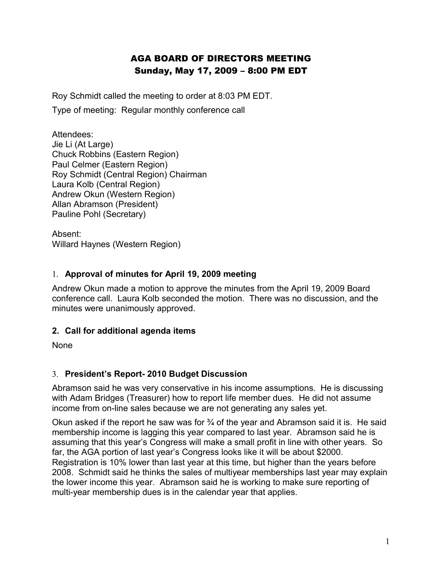# AGA BOARD OF DIRECTORS MEETING Sunday, May 17, 2009 – 8:00 PM EDT

Roy Schmidt called the meeting to order at 8:03 PM EDT.

Type of meeting: Regular monthly conference call

Attendees: Jie Li (At Large) Chuck Robbins (Eastern Region) Paul Celmer (Eastern Region) Roy Schmidt (Central Region) Chairman Laura Kolb (Central Region) Andrew Okun (Western Region) Allan Abramson (President) Pauline Pohl (Secretary)

Absent: Willard Haynes (Western Region)

### 1. **Approval of minutes for April 19, 2009 meeting**

Andrew Okun made a motion to approve the minutes from the April 19, 2009 Board conference call. Laura Kolb seconded the motion. There was no discussion, and the minutes were unanimously approved.

# **2. Call for additional agenda items**

None

# 3. **President's Report- 2010 Budget Discussion**

Abramson said he was very conservative in his income assumptions. He is discussing with Adam Bridges (Treasurer) how to report life member dues. He did not assume income from on-line sales because we are not generating any sales yet.

Okun asked if the report he saw was for ¾ of the year and Abramson said it is. He said membership income is lagging this year compared to last year. Abramson said he is assuming that this year's Congress will make a small profit in line with other years. So far, the AGA portion of last year's Congress looks like it will be about \$2000. Registration is 10% lower than last year at this time, but higher than the years before 2008. Schmidt said he thinks the sales of multiyear memberships last year may explain the lower income this year. Abramson said he is working to make sure reporting of multi-year membership dues is in the calendar year that applies.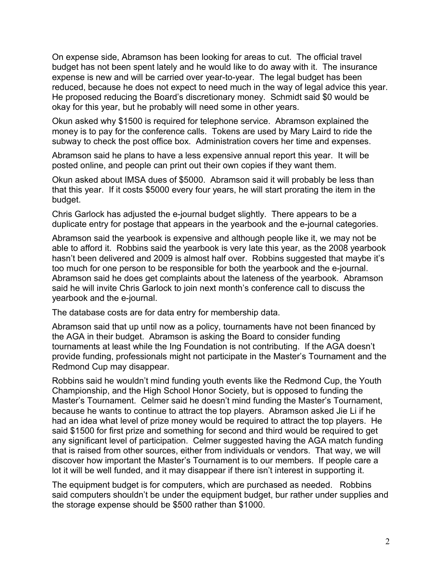On expense side, Abramson has been looking for areas to cut. The official travel budget has not been spent lately and he would like to do away with it. The insurance expense is new and will be carried over year-to-year. The legal budget has been reduced, because he does not expect to need much in the way of legal advice this year. He proposed reducing the Board's discretionary money. Schmidt said \$0 would be okay for this year, but he probably will need some in other years.

Okun asked why \$1500 is required for telephone service. Abramson explained the money is to pay for the conference calls. Tokens are used by Mary Laird to ride the subway to check the post office box. Administration covers her time and expenses.

Abramson said he plans to have a less expensive annual report this year. It will be posted online, and people can print out their own copies if they want them.

Okun asked about IMSA dues of \$5000. Abramson said it will probably be less than that this year. If it costs \$5000 every four years, he will start prorating the item in the budget.

Chris Garlock has adjusted the e-journal budget slightly. There appears to be a duplicate entry for postage that appears in the yearbook and the e-journal categories.

Abramson said the yearbook is expensive and although people like it, we may not be able to afford it. Robbins said the yearbook is very late this year, as the 2008 yearbook hasn't been delivered and 2009 is almost half over. Robbins suggested that maybe it's too much for one person to be responsible for both the yearbook and the e-journal. Abramson said he does get complaints about the lateness of the yearbook. Abramson said he will invite Chris Garlock to join next month's conference call to discuss the yearbook and the e-journal.

The database costs are for data entry for membership data.

Abramson said that up until now as a policy, tournaments have not been financed by the AGA in their budget. Abramson is asking the Board to consider funding tournaments at least while the Ing Foundation is not contributing. If the AGA doesn't provide funding, professionals might not participate in the Master's Tournament and the Redmond Cup may disappear.

Robbins said he wouldn't mind funding youth events like the Redmond Cup, the Youth Championship, and the High School Honor Society, but is opposed to funding the Master's Tournament. Celmer said he doesn't mind funding the Master's Tournament, because he wants to continue to attract the top players. Abramson asked Jie Li if he had an idea what level of prize money would be required to attract the top players. He said \$1500 for first prize and something for second and third would be required to get any significant level of participation. Celmer suggested having the AGA match funding that is raised from other sources, either from individuals or vendors. That way, we will discover how important the Master's Tournament is to our members. If people care a lot it will be well funded, and it may disappear if there isn't interest in supporting it.

The equipment budget is for computers, which are purchased as needed. Robbins said computers shouldn't be under the equipment budget, bur rather under supplies and the storage expense should be \$500 rather than \$1000.